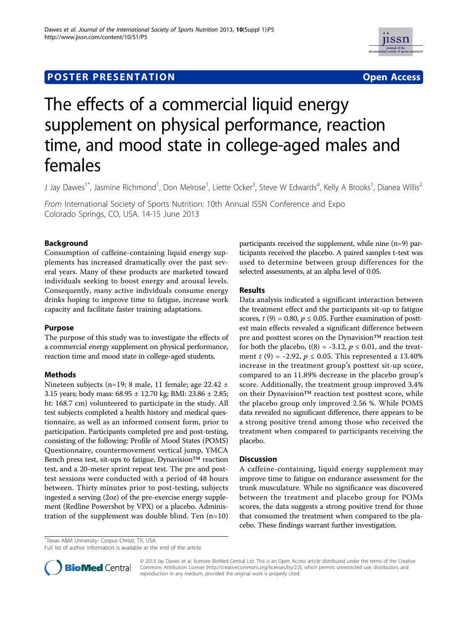# **POSTER PRESENTATION CONSUMING THE SERVICE SERVICE SERVICE SERVICES**



# The effects of a commercial liquid energy supplement on physical performance, reaction time, and mood state in college-aged males and females

J Jay Dawes<sup>1\*</sup>, Jasmine Richmond<sup>1</sup>, Don Melrose<sup>1</sup>, Liette Ocker<sup>3</sup>, Steve W Edwards<sup>4</sup>, Kelly A Brooks<sup>1</sup>, Dianea Willis<sup>2</sup>

From International Society of Sports Nutrition: 10th Annual ISSN Conference and Expo Colorado Springs, CO, USA. 14-15 June 2013

# Background

Consumption of caffeine-containing liquid energy supplements has increased dramatically over the past several years. Many of these products are marketed toward individuals seeking to boost energy and arousal levels. Consequently, many active individuals consume energy drinks hoping to improve time to fatigue, increase work capacity and facilitate faster training adaptations.

## Purpose

The purpose of this study was to investigate the effects of a commercial energy supplement on physical performance, reaction time and mood state in college-aged students.

## Methods

Nineteen subjects (n=19; 8 male, 11 female; age 22.42 ± 3.15 years; body mass: 68.95 ± 12.70 kg; BMI: 23.86 ± 2.85; ht: 168.7 cm) volunteered to participate in the study. All test subjects completed a health history and medical questionnaire, as well as an informed consent form, prior to participation. Participants completed pre and post-testing, consisting of the following: Profile of Mood States (POMS) Questionnaire, countermovement vertical jump, YMCA Bench press test, sit-ups to fatigue, Dynavision™ reaction test, and a 20-meter sprint repeat test. The pre and posttest sessions were conducted with a period of 48 hours between. Thirty minutes prior to post-testing, subjects ingested a serving (2oz) of the pre-exercise energy supplement (Redline Powershot by VPX) or a placebo. Administration of the supplement was double blind. Ten (n=10) participants received the supplement, while nine (n=9) participants received the placebo. A paired samples t-test was used to determine between group differences for the selected assessments, at an alpha level of 0.05.

# Results

Data analysis indicated a significant interaction between the treatment effect and the participants sit-up to fatigue scores,  $t$  (9) = 0.80,  $p \le 0.05$ . Further examination of posttest main effects revealed a significant difference between pre and posttest scores on the Dynavision™ reaction test for both the placebo,  $t(8) = -3.12$ ,  $p \le 0.01$ , and the treatment  $t$  (9) = -2.92,  $p \le 0.05$ . This represented a 13.40% increase in the treatment group's posttest sit-up score, compared to an 11.89% decrease in the placebo group's score. Additionally, the treatment group improved 3.4% on their Dynavision™ reaction test posttest score, while the placebo group only improved 2.56 %. While POMS data revealed no significant difference, there appears to be a strong positive trend among those who received the treatment when compared to participants receiving the placebo.

## **Discussion**

A caffeine-containing, liquid energy supplement may improve time to fatigue on endurance assessment for the trunk musculature. While no significance was discovered between the treatment and placebo group for POMs scores, the data suggests a strong positive trend for those that consumed the treatment when compared to the placebo. These findings warrant further investigation.

<sup>1</sup>Texas A&M University- Corpus Christi, TX, USA

Full list of author information is available at the end of the article



© 2013 Jay Dawes et al; licensee BioMed Central Ltd. This is an Open Access article distributed under the terms of the Creative Commons Attribution License [\(http://creativecommons.org/licenses/by/2.0](http://creativecommons.org/licenses/by/2.0)), which permits unrestricted use, distribution, and reproduction in any medium, provided the original work is properly cited.